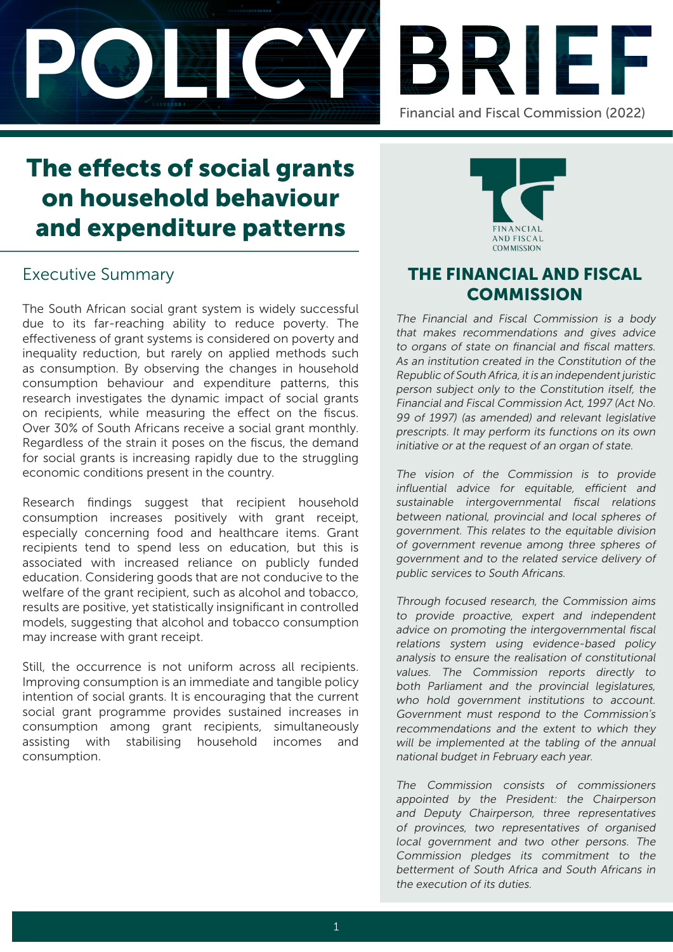



# The effects of social grants on household behaviour and expenditure patterns

# Executive Summary

The South African social grant system is widely successful due to its far-reaching ability to reduce poverty. The effectiveness of grant systems is considered on poverty and inequality reduction, but rarely on applied methods such as consumption. By observing the changes in household consumption behaviour and expenditure patterns, this research investigates the dynamic impact of social grants on recipients, while measuring the effect on the fiscus. Over 30% of South Africans receive a social grant monthly. Regardless of the strain it poses on the fiscus, the demand for social grants is increasing rapidly due to the struggling economic conditions present in the country.

Research findings suggest that recipient household consumption increases positively with grant receipt, especially concerning food and healthcare items. Grant recipients tend to spend less on education, but this is associated with increased reliance on publicly funded education. Considering goods that are not conducive to the welfare of the grant recipient, such as alcohol and tobacco, results are positive, yet statistically insignificant in controlled models, suggesting that alcohol and tobacco consumption may increase with grant receipt.

Still, the occurrence is not uniform across all recipients. Improving consumption is an immediate and tangible policy intention of social grants. It is encouraging that the current social grant programme provides sustained increases in consumption among grant recipients, simultaneously assisting with stabilising household incomes and consumption.



# THE FINANCIAL AND FISCAL **COMMISSION**

The Financial and Fiscal Commission is a body that makes recommendations and gives advice to organs of state on financial and fiscal matters. As an institution created in the Constitution of the Republic of South Africa, it is an independent juristic person subject only to the Constitution itself, the Financial and Fiscal Commission Act, 1997 (Act No. 99 of 1997) (as amended) and relevant legislative prescripts. It may perform its functions on its own initiative or at the request of an organ of state.

The vision of the Commission is to provide influential advice for equitable, efficient and sustainable intergovernmental fiscal relations between national, provincial and local spheres of government. This relates to the equitable division of government revenue among three spheres of government and to the related service delivery of public services to South Africans.

Through focused research, the Commission aims to provide proactive, expert and independent advice on promoting the intergovernmental fiscal relations system using evidence-based policy analysis to ensure the realisation of constitutional values. The Commission reports directly to both Parliament and the provincial legislatures, who hold government institutions to account. Government must respond to the Commission's recommendations and the extent to which they will be implemented at the tabling of the annual national budget in February each year.

The Commission consists of commissioners appointed by the President: the Chairperson and Deputy Chairperson, three representatives of provinces, two representatives of organised local government and two other persons. The Commission pledges its commitment to the betterment of South Africa and South Africans in the execution of its duties.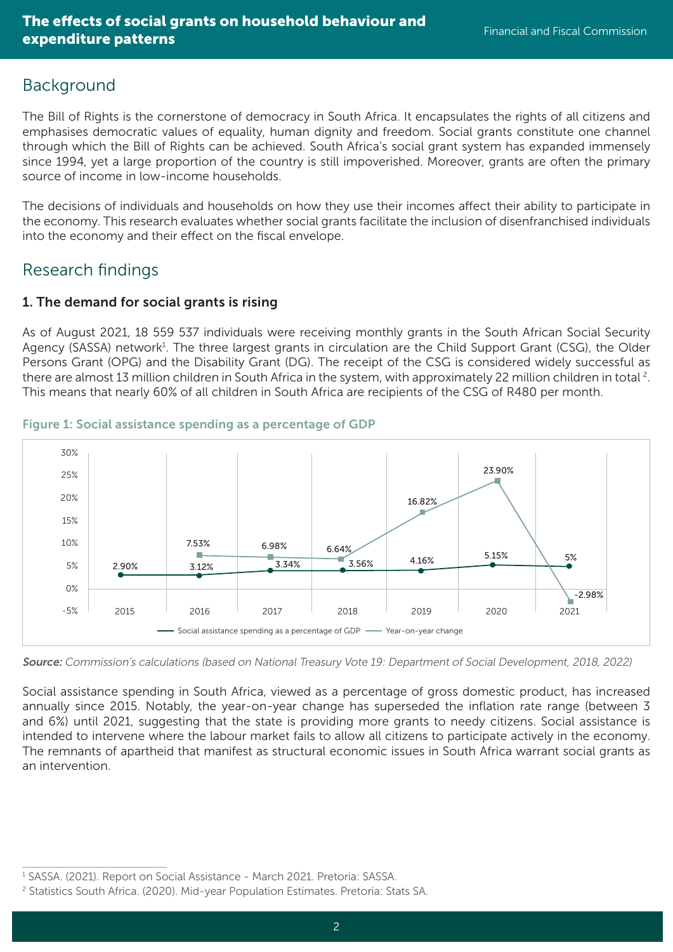# Background

The Bill of Rights is the cornerstone of democracy in South Africa. It encapsulates the rights of all citizens and emphasises democratic values of equality, human dignity and freedom. Social grants constitute one channel through which the Bill of Rights can be achieved. South Africa's social grant system has expanded immensely since 1994, yet a large proportion of the country is still impoverished. Moreover, grants are often the primary source of income in low-income households.

The decisions of individuals and households on how they use their incomes affect their ability to participate in the economy. This research evaluates whether social grants facilitate the inclusion of disenfranchised individuals into the economy and their effect on the fiscal envelope.

# Research findings

## 1. The demand for social grants is rising

As of August 2021, 18 559 537 individuals were receiving monthly grants in the South African Social Security Agency (SASSA) network<sup>1</sup>. The three largest grants in circulation are the Child Support Grant (CSG), the Older Persons Grant (OPG) and the Disability Grant (DG). The receipt of the CSG is considered widely successful as there are almost 13 million children in South Africa in the system, with approximately 22 million children in total <sup>2</sup>. This means that nearly 60% of all children in South Africa are recipients of the CSG of R480 per month.



#### Figure 1: Social assistance spending as a percentage of GDP

Source: Commission's calculations (based on National Treasury Vote 19: Department of Social Development, 2018, 2022)

Social assistance spending in South Africa, viewed as a percentage of gross domestic product, has increased annually since 2015. Notably, the year-on-year change has superseded the inflation rate range (between 3 and 6%) until 2021, suggesting that the state is providing more grants to needy citizens. Social assistance is intended to intervene where the labour market fails to allow all citizens to participate actively in the economy. The remnants of apartheid that manifest as structural economic issues in South Africa warrant social grants as an intervention.

<sup>&</sup>lt;sup>1</sup> SASSA. (2021). Report on Social Assistance - March 2021. Pretoria: SASSA.

<sup>2</sup> Statistics South Africa. (2020). Mid-year Population Estimates. Pretoria: Stats SA.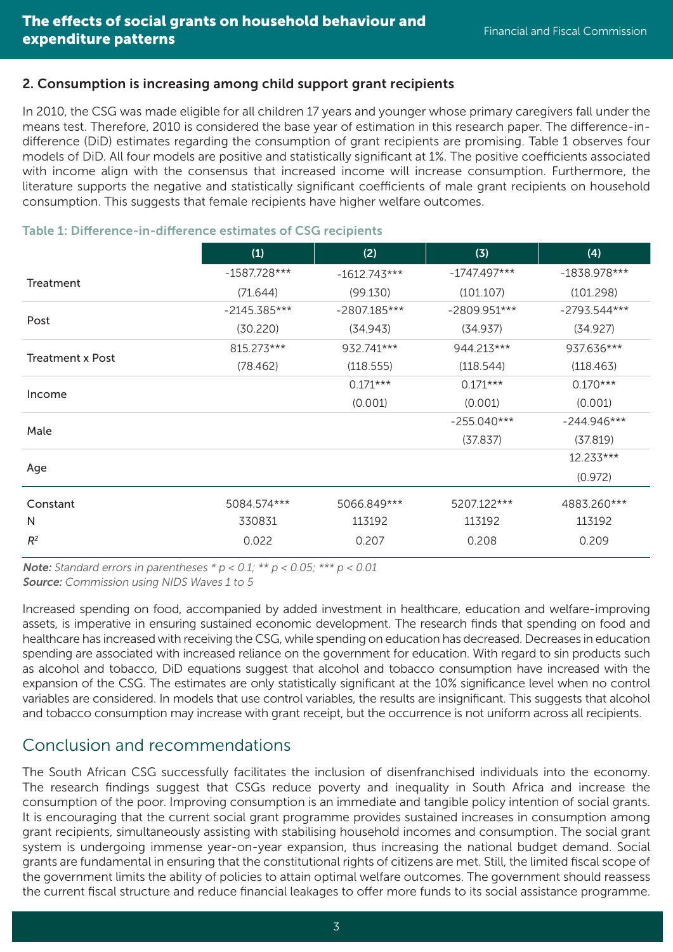## 2. Consumption is increasing among child support grant recipients

In 2010, the CSG was made eligible for all children 17 years and younger whose primary caregivers fall under the means test. Therefore, 2010 is considered the base year of estimation in this research paper. The difference-indifference (DiD) estimates regarding the consumption of grant recipients are promising. Table 1 observes four models of DiD. All four models are positive and statistically significant at 1%. The positive coefficients associated with income align with the consensus that increased income will increase consumption. Furthermore, the literature supports the negative and statistically significant coefficients of male grant recipients on household consumption. This suggests that female recipients have higher welfare outcomes.

|                         | (1)            | (2)            | (3)            | (4)            |
|-------------------------|----------------|----------------|----------------|----------------|
| Treatment               | $-1587.728***$ | $-1612.743***$ | $-1747.497***$ | $-1838.978***$ |
|                         | (71.644)       | (99.130)       | (101.107)      | (101.298)      |
| Post                    | $-2145.385***$ | $-2807.185***$ | $-2809.951***$ | $-2793.544***$ |
|                         | (30.220)       | (34.943)       | (34.937)       | (34.927)       |
| <b>Treatment x Post</b> | 815.273***     | 932.741***     | 944.213***     | 937.636***     |
|                         | (78.462)       | (118.555)      | (118.544)      | (118.463)      |
| Income                  |                | $0.171***$     | $0.171***$     | $0.170***$     |
|                         |                | (0.001)        | (0.001)        | (0.001)        |
| Male                    |                |                | $-255.040***$  | $-244.946***$  |
|                         |                |                | (37.837)       | (37.819)       |
| Age                     |                |                |                | 12.233***      |
|                         |                |                |                | (0.972)        |
| Constant                | 5084.574***    | 5066.849***    | 5207.122***    | 4883.260***    |
| N                       | 330831         | 113192         | 113192         | 113192         |
| $R^2$                   | 0.022          | 0.207          | 0.208          | 0.209          |

### Table 1: Difference-in-difference estimates of CSG recipients

**Note:** Standard errors in parentheses  $* p < 0.1; ** p < 0.05; *** p < 0.01$ Source: Commission using NIDS Waves 1 to 5

Increased spending on food, accompanied by added investment in healthcare, education and welfare-improving assets, is imperative in ensuring sustained economic development. The research finds that spending on food and healthcare has increased with receiving the CSG, while spending on education has decreased. Decreases in education spending are associated with increased reliance on the government for education. With regard to sin products such as alcohol and tobacco, DiD equations suggest that alcohol and tobacco consumption have increased with the expansion of the CSG. The estimates are only statistically significant at the 10% significance level when no control variables are considered. In models that use control variables, the results are insignificant. This suggests that alcohol and tobacco consumption may increase with grant receipt, but the occurrence is not uniform across all recipients.

# Conclusion and recommendations

The South African CSG successfully facilitates the inclusion of disenfranchised individuals into the economy. The research findings suggest that CSGs reduce poverty and inequality in South Africa and increase the consumption of the poor. Improving consumption is an immediate and tangible policy intention of social grants. It is encouraging that the current social grant programme provides sustained increases in consumption among grant recipients, simultaneously assisting with stabilising household incomes and consumption. The social grant system is undergoing immense year-on-year expansion, thus increasing the national budget demand. Social grants are fundamental in ensuring that the constitutional rights of citizens are met. Still, the limited fiscal scope of the government limits the ability of policies to attain optimal welfare outcomes. The government should reassess the current fiscal structure and reduce financial leakages to offer more funds to its social assistance programme.